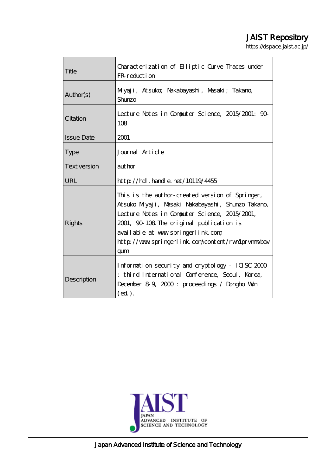# JAIST Repository

https://dspace.jaist.ac.jp/

| Title                                                                                                                                                                      | Characterization of Elliptic Curve Traces under<br>FR reduction                                                                                                                                                                                                                                     |  |  |
|----------------------------------------------------------------------------------------------------------------------------------------------------------------------------|-----------------------------------------------------------------------------------------------------------------------------------------------------------------------------------------------------------------------------------------------------------------------------------------------------|--|--|
| Author(s)                                                                                                                                                                  | Milyaji, Atsuko; Nakabayashi, Masaki; Takano,<br>Shurzo                                                                                                                                                                                                                                             |  |  |
| Citation                                                                                                                                                                   | Lecture Notes in Computer Science, 2015/2001: 90-<br>108                                                                                                                                                                                                                                            |  |  |
| <b>Issue Date</b>                                                                                                                                                          | 2001                                                                                                                                                                                                                                                                                                |  |  |
| <b>Type</b>                                                                                                                                                                | Journal Article                                                                                                                                                                                                                                                                                     |  |  |
| <b>Text version</b>                                                                                                                                                        | author                                                                                                                                                                                                                                                                                              |  |  |
| URL                                                                                                                                                                        | $http$ // $hdl$ . handle. net/10119/4455                                                                                                                                                                                                                                                            |  |  |
| Rights                                                                                                                                                                     | This is the author-created version of Springer,<br>Atsuko Miyaji, Masaki Nakabayashi, Shunzo Takano,<br>Lecture Notes in Computer Science, 2015/2001,<br>2001, 90–108. The original publication is<br>available at www.springerlink.com<br>http://www.springerlink.com/content/rwn1prvnmwbav<br>gum |  |  |
| Information security and cryptology - ICISC 2000<br>: third International Conference, Seoul, Korea,<br>Description<br>December 89, 2000: proceedings / Dongho Won<br>(ed). |                                                                                                                                                                                                                                                                                                     |  |  |

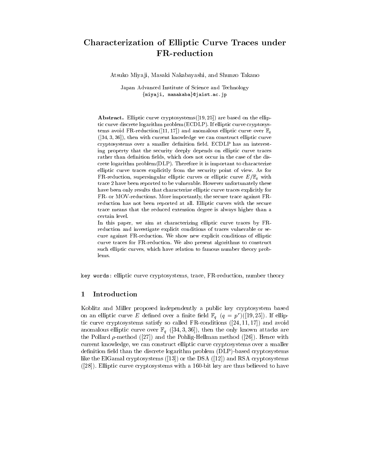## Characterization of Elliptic Curve Traces under FR-reduction

Atsuko Miya ji, Masaki Nakabayashi, and Shunzo Takano

Japan Advanced Institute of Science and Technology {miyaji, manakaba}@jaist.ac.jp

Abstract. Elliptic curve cryptosystems([19, 25]) are based on the elliptic curve discrete logarithm problem(ECDLP). If elliptic curve cryptosystems avoid FR-reduction([11, 17]) and anomalous elliptic curve over  $\mathbb{F}_q$  $([34, 3, 36])$ , then with current knowledge we can construct elliptic curve cryptosystems over a smaller definition field. ECDLP has an interesting property that the security deeply depends on elliptic curve traces rather than definition fields, which does not occur in the case of the discrete logarithm problem(DLP). Therefore it is important to characterize elliptic curve traces explicitly from the security point of view. As for FR-reduction, supersingular elliptic curves or elliptic curve  $E/\mathbb{F}_q$  with trace 2 have been reported to be vulnerable. However unfortunately these have been only results that characterize elliptic curve traces explicitly for FR- or MOV-reductions. More importantly, the secure trace against FRreduction has not been reported at all. Elliptic curves with the secure trace means that the reduced extension degree is always higher than a certain level.

In this paper, we aim at characterizing elliptic curve traces by FRreduction and investigate explicit conditions of traces vulnerable or secure against FR-reduction. We show new explicit conditions of elliptic curve traces for FR-reduction. We also present algorithms to construct such elliptic curves, which have relation to famous number theory problems.

key words: elliptic curve cryptosystems, trace, FR-reduction, number theory

#### 1 Introduction

Koblitz and Miller proposed independently a public key cryptosystem based on an elliptic curve E defined over a finite field  $\mathbb{F}_q$   $(q = p^r)(19, 25]$ . If elliptic curve cryptosystems satisfy so called FR-conditions ([24, 11, 17]) and avoid anomalous elliptic curve over  $\mathbb{F}_q$  ([34, 3, 36]), then the only known attacks are the Pollard  $\rho$ -method ([27]) and the Pohlig-Hellman method ([26]). Hence with current knowledge, we can construct elliptic curve cryptosystems over a smaller definition field than the discrete logarithm problem (DLP)-based cryptosystems like the ElGamal cryptosystems ([13]) or the DSA ([12]) and RSA cryptosystems ([28]). Elliptic curve cryptosystems with a 160-bit key are thus believed to have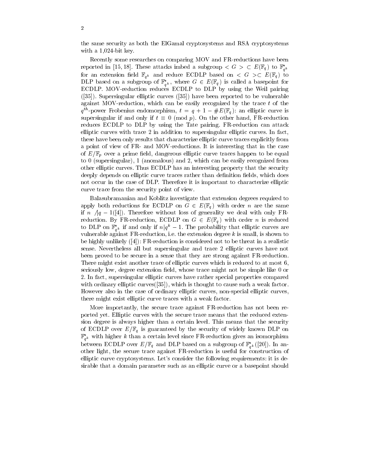the same security as both the ElGamal cryptosystems and RSA cryptosystems with a 1,024-bit key.

Recently some researches on comparing MOV and FR-reductions have been reported in [15, 18]. These attacks imbed a subgroup  $\lt G > \subset E(\mathbb{F}_q)$  to  $\mathbb{F}_{q^k}^*$ for an extension field  $\mathbb{F}_{q^k}$  and reduce ECDLP based on  $\lt G \gt C$   $E(\mathbb{F}_q)$  to DLP based on a subgroup of  $\mathbb{F}_{q^k}^*$ , where  $G \in E(\mathbb{F}_q)$  is called a basepoint for ECDLP. MOV-reduction reduces ECDLP to DLP by using the Weil pairing ([35]). Supersingular elliptic curves ([35]) have been reported to be vulnerable against MOV-reduction, which can be easily recognized by the trace  $t$  of the  $q^{\ldots}$ -power Frobenius endomorphism,  $t = q + 1 - \#E(\mathbb{F}_q)$ : an emplic curve is supersingular if and only if  $t \equiv 0 \pmod{p}$ . On the other hand, FR-reduction reduces ECDLP to DLP by using the Tate pairing. FR-reduction can attack elliptic curves with trace 2 in addition to supersingular elliptic curves. In fact, these have been only results that characterize elliptic curve traces explicitly from a point of view of FR- and MOV-reductions. It is interesting that in the case of  $E/\mathbb{F}_p$  over a prime field, dangerous elliptic curve traces happen to be equal to 0 (supersingular), 1 (anomalous) and 2, which can be easily recognized from other elliptic curves. Thus ECDLP has an interesting property that the security deeply depends on elliptic curve traces rather than definition fields, which does not occur in the case of DLP. Therefore it is important to characterize elliptic curve trace from the security point of view.

Balasubramanian and Koblitz investigate that extension degrees required to apply both reductions for ECDLP on  $G \in E(\mathbb{F}_q)$  with order n are the same if n  $\sqrt{q} - 1$ ([4]). Therefore without loss of generality we deal with only FRreduction. By FR-reduction, ECDLP on  $G \in E(\mathbb{F}_q)$  with order n is reduced to DLP on  $\mathbb{F}_{q^k}^*$  if and only if  $n|q^k-1$ . The probability that elliptic curves are vulnerable against FR-reduction, i.e. the extension degree  $k$  is small, is shown to be highly unlikely ([4]): FR-reduction is considered not to be threat in a realistic sense. Nevertheless all but supersingular and trace 2 elliptic curves have not been proved to be secure in a sense that they are strong against FR-reduction. There might exist another trace of elliptic curves which is reduced to at most 6, seriously low, degree extension field, whose trace might not be simple like 0 or 2. In fact, supersingular elliptic curves have rather special properties compared with ordinary elliptic curves  $(35)$ , which is thought to cause such a weak factor. However also in the case of ordinary elliptic curves, non-special elliptic curves, there might exist elliptic curve traces with a weak factor.

More importantly, the secure trace against FR-reduction has not been reported yet. Elliptic curves with the secure trace means that the reduced extension degree is always higher than a certain level. This means that the security of ECDLP over  $E/\mathbb{F}_q$  is guaranteed by the security of widely known DLP on  $\mathbb{F}_{q^k}$  with higher  $\kappa$  than a certain level since FR-reduction gives an isomorphism between ECDLP over  $E/\mathbb{F}_q$  and DLP based on a subgroup of  $\mathbb{F}_{q^k}(\lfloor 20 \rfloor)$ . In another light, the secure trace against FR-reduction is useful for construction of elliptic curve cryptosystems. Let's consider the following requirements: it is desirable that a domain parameter such as an elliptic curve or a basepoint should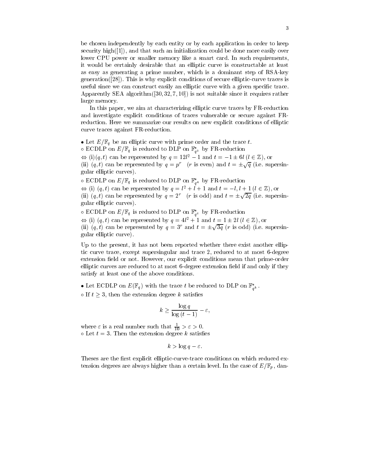be chosen independently by each entity or by each application in order to keep security high([1]), and that such an initialization could be done more easily over lower CPU power or smaller memory like a smart card. In such requirements, it would be certainly desirable that an elliptic curve is constructable at least as easy as generating a prime number, which is a dominant step of RSA-key generation([28]). This is why explicit conditions of secure elliptic-curve traces is useful since we can construct easily an elliptic curve with a given specific trace. Apparently SEA algorithm $([30, 32, 7, 10])$  is not suitable since it requires rather large memory.

In this paper, we aim at characterizing elliptic curve traces by FR-reduction and investigate explicit conditions of traces vulnerable or secure against FRreduction. Here we summarize our results on new explicit conditions of elliptic curve traces against FR-reduction.

 $\bullet$  Let  $E/\mathbb{F}_q$  be an elliptic curve with prime order and the trace t.

 $\circ$  ECDLP on  $E/\mathbb{F}_q$  is reduced to DLP on  $\mathbb{F}_{q^3}$  by FR-reduction

 $\Leftrightarrow$  (i)(q, t) can be represented by  $q = 12l^2 - 1$  and  $t = -1 \pm 6l$  ( $l \in \mathbb{Z}$ ), or (ii)  $(q, t)$  can be represented by  $q = p^r$  (r is even) and  $t = \pm \sqrt{q}$  (i.e. supersingular elliptic curves).

 $\circ$  EUDLP on  $E/\mathbb{F}_q$  is reduced to DLP on  $\mathbb{F}_{q^4}$  by FR-reduction

 $\Leftrightarrow$  (i)  $(q, t)$  can be represented by  $q = l^2 + l + 1$  and  $t = -l, l +1$   $(l \in \mathbb{Z})$ , or (ii)  $(q, t)$  can be represented by  $q = 2^r$  (r is odd) and  $t = \pm \sqrt{2q}$  (i.e. supersingular elliptic curves).

 $\circ$  ECDLP on  $E/\mathbb{F}_q$  is reduced to DLP on  $\mathbb{F}_{q^6}$  by FR-reduction  $\Leftrightarrow$  (i)  $(q, t)$  can be represented by  $q = 4l^2 + 1$  and  $t = 1 \pm 2l$   $(l \in \mathbb{Z})$ , or (ii)  $(q, t)$  can be represented by  $q = 3^r$  and  $t = \pm \sqrt{3q}$  (r is odd) (i.e. supersingular elliptic curve).

Up to the present, it has not been reported whether there exist another elliptic curve trace, except supersingular and trace 2, reduced to at most 6-degree extension field or not. However, our explicit conditions mean that prime-order elliptic curves are reduced to at most 6-degree extension field if and only if they satisfy at least one of the above conditions.

• Let ECDLP on  $E(\mathbb{F}_q)$  with the trace t be reduced to DLP on  $\mathbb{F}_{\leq k}$ .

o If  $t \geq 3$ , then the extension degree k satisfies

$$
k \ge \frac{\log q}{\log (t-1)} - \varepsilon,
$$

where  $\varepsilon$  is a real number such that  $\frac{1}{10} > \varepsilon > 0$ .  $\circ$  Let  $t=3$ . Then the extension degree k satisfies

$$
k > \log q - \varepsilon.
$$

Theses are the first explicit elliptic-curve-trace conditions on which reduced extension degrees are always higher than a certain level. In the case of  $E/\mathbb{F}_p$ , dan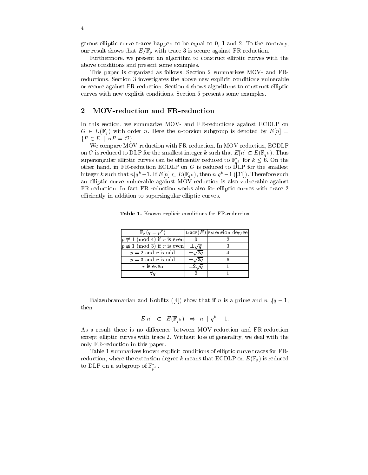gerous elliptic curve traces happen to be equal to 0, 1 and 2. To the contrary, our result shows that  $E/\mathbb{F}_p$  with trace 3 is secure against FR-reduction.

Furthermore, we present an algorithm to construct elliptic curves with the above conditions and present some examples.

This paper is organized as follows. Section 2 summarizes MOV- and FRreductions. Section 3 investigates the above new explicit conditions vulnerable or secure against FR-reduction. Section 4 shows algorithms to construct elliptic curves with new explicit conditions. Section 5 presents some examples.

#### 2 MOV-reduction and FR-reduction

In this section, we summarize MOV- and FR-reductions against ECDLP on  $G \in E(\mathbb{F}_q)$  with order n. Here the n-torsion subgroup is denoted by  $E[n] =$  ${P \in E \mid nP = \mathcal{O}}.$ 

We compare MOV-reduction with FR-reduction. In MOV-reduction, ECDLP on G is reduced to DLP for the smallest integer k such that  $E[n] \subset E(\mathbb{F}_{q^k})$ . Thus supersingular elliptic curves can be efficiently reduced to  $\mathbb{F}_{q^k}^*$  for  $k \leq 6$ . On the other hand, in FR-reduction ECDLP on  $G$  is reduced to DLP for the smallest integer k such that  $n|q^k-1$ . If  $E[n] \subset E(\mathbb{F}_{q^k})$ , then  $n|q^k-1$  ([31]). Therefore such an elliptic curve vulnerable against MOV-reduction is also vulnerable against FR-reduction. In fact FR-reduction works also for elliptic curves with trace 2 efficiently in addition to supersingular elliptic curves.

Table 1. Known explicit conditions for FR-reduction

| $\mathbb{F}_q(q=p^r)$                  |                 | $ {\rm trace}(E) $ extension degree |
|----------------------------------------|-----------------|-------------------------------------|
| $p \not\equiv 1 \pmod{4}$ if r is even |                 |                                     |
| $p \not\equiv 1 \pmod{3}$ if r is even | $\pm \sqrt{q}$  |                                     |
| $p = 2$ and r is odd                   |                 |                                     |
| $p = 3$ and r is odd                   | $\pm \sqrt{3}a$ |                                     |
| $r$ is even                            | $\pm 2.$        |                                     |
|                                        |                 |                                     |

Balasubramanian and Koblitz ([4]) show that if n is a prime and  $n \nmid q-1$ , then

$$
E[n] \subset E(\mathbb{F}_{q^k}) \Leftrightarrow n \mid q^k - 1.
$$

As a result there is no difference between MOV-reduction and FR-reduction except elliptic curves with trace 2. Without loss of generality, we deal with the only FR-reduction in this paper.

Table 1 summarizes known explicit conditions of elliptic curve traces for FRreduction, where the extension degree k means that ECDLP on  $E(\mathbb{F}_q)$  is reduced to DLP on a subgroup of  $\mathbb{F}_{p^k}$  .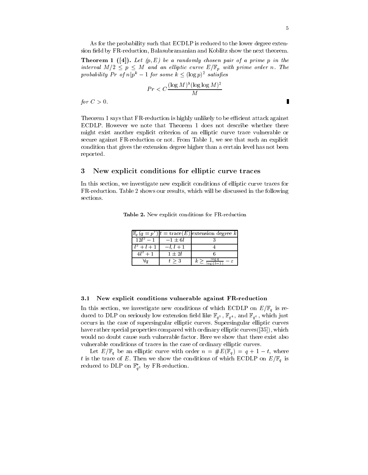As for the probability such that ECDLP is reduced to the lower degree extension field by FR-reduction, Balasubramanian and Koblitz show the next theorem.

**Theorem 1** ([4]). Let  $(p, E)$  be a randomly chosen pair of a prime p in the interval  $M/2 \leq p \leq M$  and an elliptic curve  $E/\mathbb{F}_p$  with prime order n. The probability Pr of  $n|p^k-1$  for some  $k \leq (\log p)^2$  satisfies

$$
Pr < C \frac{(\log M)^9 (\log \log M)^2}{M}
$$

for <sup>C</sup> > 0.

Theorem 1 says that FR-reduction is highly unlikely to be efficient attack against ECDLP. However we note that Theorem 1 does not describe whether there might exist another explicit criterion of an elliptic curve trace vulnerable or secure against FR-reduction or not. From Table 1, we see that such an explicit condition that gives the extension degree higher than a certain level has not been reported.

#### 3 3 New explicit conditions for elliptic curve traces

In this section, we investigate new explicit conditions of elliptic curve traces for FR-reduction. Table 2 shows our results, which will be discussed in the following sections.

|           | $= pr$ ) $ t = \text{trace}(E) $ extension degree k |
|-----------|-----------------------------------------------------|
| $-1 + 6l$ |                                                     |
|           |                                                     |
| $+21$     |                                                     |
|           |                                                     |

Table 2. New explicit conditions for FR-reduction

#### 3.1 New explicit conditions vulnerable against FR-reduction

In this section, we investigate new conditions of which ECDLP on  $E/\mathbb{F}_q$  is reduced to DLP on seriously low extension field like  $\mathbb{F}_{q^3}$ ,  $\mathbb{F}_{q^4}$ , and  $\mathbb{F}_{q^6}$ , which just occurs in the case of supersingular elliptic curves. Supersingular elliptic curves have rather special properties compared with ordinary elliptic curves([35]), which would no doubt cause such vulnerable factor. Here we show that there exist also vulnerable conditions of traces in the case of ordinary elliptic curves.

Let  $E/\mathbb{F}_q$  be an elliptic curve with order  $n = \#E(\mathbb{F}_q) = q + 1 - t$ , where t is the trace of E. Then we show the conditions of which  $\mathcal{L}=\mathcal{L}=\mathcal{L}=\mathcal{L}$  is an Eq. in reduced to DLF on  $\mathbb{F}_{q^3}$  by FR-reduction.

 $\blacksquare$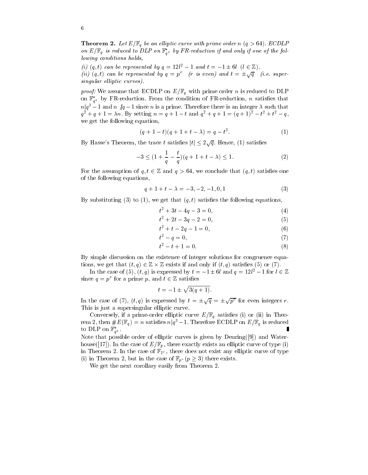**Theorem 2.** Let  $E/\mathbb{F}_q$  be an elliptic curve with prime order n  $(q > 64)$ . ECDLP on  $E/\mathbb{F}_q$  is reduced to DLP on  $\mathbb{F}_{q^3}$  by FR-reduction if and only if one of the following conditions holds,

(i)  $(q, t)$  can be represented by  $q = 12l^2 - 1$  and  $t = -1 \pm 6l$   $(l \in \mathbb{Z})$ . (ii) (q, t) can be represented by  $q = p^r$  (r is even) and  $t = \pm \sqrt{q}$  (i.e. supersingular elliptic curves).

 $p \mapsto p$  , we assume that ECDLP on Eq. with prime order n is reduced to  $\Box$ on  $\mathbb{F}_{q^3}$  by FR-reduction. From the condition of FR-reduction,  $n$  satisfies that  $n|q^3-1$  and  $n\not|q-1$  since  $n$  is a prime. Therefore there is an integer  $\lambda$  such that  $q^2 + q + 1 = \lambda n$ . By setting  $n = q + 1 - t$  and  $q^2 + q + 1 = (q + 1)^2 - t^2 + t^2 - q$ , we get the following equation,

$$
(q+1-t)(q+1+t-\lambda) = q - t^2.
$$
 (1)

By Hasse's Theorem, the trace  $t$  satisfies  $|t| \leq 2\sqrt{q}$ . Hence, (1) satisfies

$$
-3 \le (1 + \frac{1}{q} - \frac{t}{q})(q + 1 + t - \lambda) \le 1.
$$
 (2)

For the assumption of  $q, t \in \mathbb{Z}$  and  $q > 64$ , we conclude that  $(q, t)$  satisfies one of the following equations,

$$
q + 1 + t - \lambda = -3, -2, -1, 0, 1 \tag{3}
$$

By substituting (3) to (1), we get that  $(q, t)$  satisfies the following equations,

$$
t^2 + 3t - 4q - 3 = 0,\t\t(4)
$$

$$
t^2 + 2t - 3q - 2 = 0,\t\t(5)
$$

$$
t^2 + t - 2q - 1 = 0,\t\t(6)
$$

$$
t^2 - q = 0,\t\t(7)
$$

$$
t^2 - t + 1 = 0.\t\t(8)
$$

By simple discussion on the existence of integer solutions for congruence equations, we get that  $(t,q) \in \mathbb{Z} \times \mathbb{Z}$  exists if and only if  $(t,q)$  satisfies (5) or (7).

In the case of (5),  $(t, q)$  is expressed by  $t = -1 \pm 6l$  and  $q = 12l^2 - 1$  for  $l \in \mathbb{Z}$ since  $q = p'$  for a prime p, and  $t \in \mathbb{Z}$  satisfies

$$
t = -1 \pm \sqrt{3(q+1)}
$$
.

In the case of (7),  $(t, q)$  is expressed by  $t = \pm \sqrt{q} = \pm \sqrt{p^r}$  for even integers r. This is just a supersingular elliptic curve.

Conversely, if a prime-order elliptic curve  $E/\mathbb{F}_q$  satisfies (i) or (ii) in Theorem 2, then  $\#E(\mathbb{F}_q)=n$  satisfies  $n|q^3-1.$  Therefore ECDLP on  $E/\mathbb{F}_q$  is reduced to DLP on  $\mathbb{F}_{a^3}^*$ . Г

Note that possible order of elliptic curves is given by  $Deuring([9])$  and Waterhouse([17]). In the case of  $E/\mathbb{F}_p$ , there exactly exists an elliptic curve of type (i) in Theorem 2. In the case of  $\mathbb{F}_{2^r}$ , there does not exist any elliptic curve of type (i) in Theorem 2, but in the case of  $\mathbb{F}_{p^r}$   $(p \geq 3)$  there exists.

We get the next corollary easily from Theorem 2.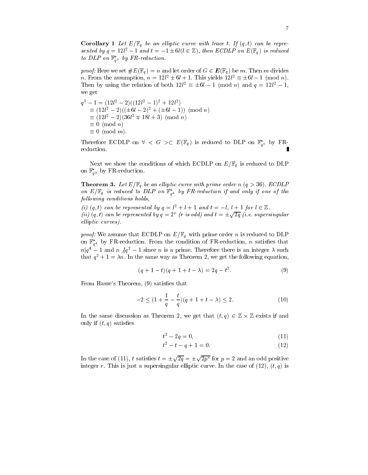**Corollary 1** Let  $E/\mathbb{F}_q$  be an elliptic curve with trace t. If  $(q, t)$  can be represented by  $q = 12l^2 - 1$  and  $t = -1 \pm 6l(l \in \mathbb{Z})$ , then ECDLP on  $E(\mathbb{F}_q)$  is reduced to DLP on  $\mathbb{F}_{q^3}$  by FR-reduction.

*proof:* Here we set  $\#E(\mathbb{F}_q) = n$  and let order of  $G \in E(\mathbb{F}_q)$  be m. Then m divides *n*. From the assumption,  $n = 12l^2 \pm 6l + 1$ . This yields  $12l^2 \equiv \pm 6l - 1 \pmod{n}$ . Then by using the relation of both  $12l^2 \equiv \pm 6l - 1 \pmod{n}$  and  $q = 12l^2 - 1$ , we get

$$
q3 - 1 = (12l2 - 2)((12l2 - 1)2 + 12l2)
$$
  
\n
$$
\equiv (12l2 - 2)((\pm 6l - 2)2 + (\pm 6l - 1))
$$
 (mod *n*)  
\n
$$
\equiv (12l2 - 2)(36l2 \mp 18l + 3) \pmod{n}
$$
  
\n
$$
\equiv 0 \pmod{n}
$$
  
\n
$$
\equiv 0 \pmod{m}.
$$

Therefore ECDLP on  $\forall < G > \subset E(\mathbb{F}_q)$  is reduced to DLP on  $\mathbb{F}_{q^3}^*$  by FRreduction.

Next we show the conditions of which ECDLP on  $E/\mathbb{F}_q$  is reduced to DLP on  $\mathbb{F}_{q^4}$  by **FR-reduction.** 

**Theorem 3.** Let  $E/\mathbb{F}_q$  be an elliptic curve with prime order n (q > 36). ECDLP on  $E/\mathbb{F}_q$  is reduced to DLP on  $\mathbb{F}_{q^4}$  by FR-reduction if and only if one of the fol lowing conditions holds,

(i)  $(q, t)$  can be represented by  $q = l^2 + l + 1$  and  $t = -l, l + 1$  for  $l \in \mathbb{Z}$ . (ii)  $(q,t)$  can be represented by  $q=2^r$  (r is odd) and  $t=\pm\sqrt{2q}$  (i.e. supersingular  $\epsilon$ iliptic curves).

 $p \cdot \cdot \cdot$  , we assume that  $\cdot$  . The Eq. with prime order to DLP on Eq. with prime order  $\cdot$  . The DLP of DLP of DLP of DLP of DLP of DLP of DLP of DLP of DLP of DLP of DLP of DLP of DLP of DLP of DLP of DLP of DLP of D on  $\mathbb{F}_{q^4}$  by FR-reduction. From the condition of FR-reduction, *n* satisfies that  $n|q^4-1$  and  $n \nmid q^2-1$  since n is a prime. Therefore there is an integer  $\lambda$  such that  $q^2 + 1 = \lambda n$ . In the same way as Theorem 2, we get the following equation,

$$
(q+1-t)(q+1+t-\lambda) = 2q - t^2. \tag{9}
$$

From Hasse's Theorem,  $(9)$  satisfies that

$$
-2 \le (1 + \frac{1}{q} - \frac{t}{q})(q + 1 + t - \lambda) \le 2.
$$
 (10)

In the same discussion as Theorem 2, we get that  $(t, q) \in \mathbb{Z} \times \mathbb{Z}$  exists if and only if  $(t, q)$  satisfies

$$
t^2 - 2q = 0,\t(11)
$$

$$
t^2 - t - q + 1 = 0.\t\t(12)
$$

In the case of (11), t satisfies  $t = \pm \sqrt{2q} = \pm \sqrt{2p^r}$  for  $p = 2$  and an odd positive integer r. This is just a supersingular elliptic curve. In the case of (12),  $(t, q)$  is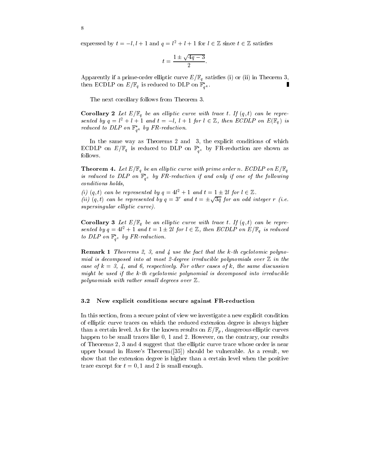expressed by  $t = -l, l + 1$  and  $q = l^2 + l + 1$  for  $l \in \mathbb{Z}$  since  $t \in \mathbb{Z}$  satisfies

$$
t=\frac{1\pm\sqrt{4q-3}}{2}.
$$

Apparently if a prime-order elliptic curve  $E/\mathbb{F}_q$  satisfies (i) or (ii) in Theorem 3, then ECDLP on  $E/\mathbb{F}_q$  is reduced to DLP on  $\mathbb{F}_{q^4}^*$ .

The next corollary follows from Theorem 3.

**Corollary 2** Let  $E/\mathbb{F}_q$  be an elliptic curve with trace t. If  $(q, t)$  can be represented by  $q = l^2 + l + 1$  and  $t = -l, l + 1$  for  $l \in \mathbb{Z}$ , then ECDLP on  $E(\mathbb{F}_q)$  is reduced to DLP on  $\mathbb{F}_{q^4}$  by FR-reduction.

In the same way as Theorems 2 and 3, the explicit conditions of which EUDLP on  $E/\mathbb{F}_q$  is reduced to DLP on  $\mathbb{F}_{q^6}$  by FR-reduction are shown as follows.

**Theorem 4.** Let  $E/\mathbb{F}_q$  be an elliptic curve with prime order n. ECDLP on  $E/\mathbb{F}_q$ is reduced to DLP on  $\mathbb{F}_{q^6}$  by FR-reduction if and only if one of the following conditions holds,

(i)  $(q, t)$  can be represented by  $q = 4l^2 + 1$  and  $t = 1 \pm 2l$  for  $l \in \mathbb{Z}$ . (ii)  $(q, t)$  can be represented by  $q = 3^r$  and  $t = \pm \sqrt{3q}$  for an odd integer r (i.e. supersingular elliptic curve).

**Corollary 3** Let  $E/\mathbb{F}_q$  be an elliptic curve with trace t. If  $(q, t)$  can be represented by  $q = 4l^2 + 1$  and  $t = 1 \pm 2l$  for  $l \in \mathbb{Z}$ , then ECDLP on  $E/\mathbb{F}_q$  is reduced to DLP on  $\mathbb{F}_{q^6}$  by FR-reduction.

**Remark 1** Theorems 2, 3, and 4 use the fact that the  $k$ -th cyclotomic polynomial is decomposed into atmost 2-degree irreducible polynomials over <sup>Z</sup> in the case of  $\kappa = 3, 4,$  and 0, respectively. For other cases of  $\kappa$ , the same discussion might be used if the k-th cyclotomic polynomial is decomposed into irreducible  $p$ olynomials with rather small degrees over  $\omega$ .

#### 3.2 New explicit conditions secure against FR-reduction

In this section, from a secure point of view we investigate a new explicit condition of elliptic curve traces on which the reduced extension degree is always higher than a certain level. As for the known results on  $E/\mathbb{F}_p$ , dangerous elliptic curves happen to be small traces like 0, 1 and 2. However, on the contrary, our results of Theorems 2, 3 and 4 suggest that the elliptic curve trace whose order is near upper bound in Hasse's Theorem([35]) should be vulnerable. As a result, we show that the extension degree is higher than a certain level when the positive trace except for  $t = 0, 1$  and 2 is small enough.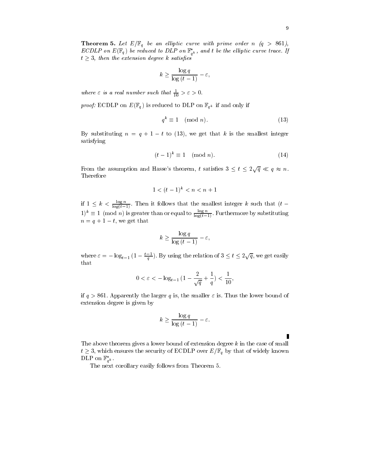$$
k \ge \frac{\log q}{\log (t-1)} - \varepsilon,
$$

where  $\varepsilon$  is a real number such that  $\frac{1}{10} > \varepsilon > 0$ .

 $p \cdot \tau$  , and  $p \cdot \tau$  is reduced to  $p \cdot \tau$  if and  $p \cdot \tau$  if and only if and only if and only if and only if and only if and only if and only if and only if and only if and only if and only if and only if and only if and

$$
q^k \equiv 1 \pmod{n}.\tag{13}
$$

By substituting  $n = q + 1 - t$  to (13), we get that k is the smallest integer satisfying

$$
(t-1)^k \equiv 1 \pmod{n}.\tag{14}
$$

From the assumption and Hasse's theorem, t satisfies  $3 \leq t \leq 2\sqrt{q} \ll q \approx n$ . Therefore

$$
1 < (t-1)^k < n < n+1
$$

if  $1 \leq k < \frac{\log n}{\log (t-1)}$ . Then it follows that the smallest integer k such that  $(t 1)^n \equiv 1 \pmod{n}$  is greater than or equal to  $\frac{e^{i\theta}-1}{\log(t-1)}$ . Furthermore by substituting  $n = q + 1 = t$ , we get that

$$
k \ge \frac{\log q}{\log (t-1)} - \varepsilon,
$$

where  $\varepsilon = -\log_{t-1} (1 - \frac{t-1}{q})$ . By using the relation of  $3 \le t \le 2\sqrt{q}$ , we get easily that

$$
0 < \varepsilon < -\log_{t-1} (1 - \frac{2}{\sqrt{q}} + \frac{1}{q}) < \frac{1}{10},
$$

if  $q > 861$ . Apparently the larger q is, the smaller  $\varepsilon$  is. Thus the lower bound of extension degree is given by

$$
k \ge \frac{\log q}{\log (t-1)} - \varepsilon.
$$

The above theorem gives a lower bound of extension degree k in the case of small  $t \geq 3$ , which ensures the security of ECDLP over  $E/\mathbb{F}_q$  by that of widely known DLP on  $\mathbb{F}_{q^k}^*$ .

The next corollary easily follows from Theorem 5.

Ī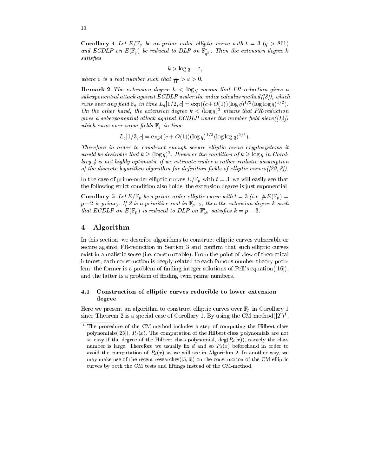**Corollary 4** Let  $E/\mathbb{F}_q$  be an prime order elliptic curve with  $t = 3$  (q > 861) and ECDLP on  $E(\mathbb{F}_q)$  be reduced to DLP on  $\mathbb{F}_{q^k}$ . Then the extension degree k satisfies

$$
k > \log q - \varepsilon,
$$

where  $\varepsilon$  is a real number such that  $\frac{1}{10} > \varepsilon > 0$ .

**Remark 2** The extension degree  $k < log q$  means that FR-reduction gives a subexponential attack against  $ECDLP$  under the index calculus method([8]), which runs over any neta  $\mathbb{F}_q$  in time  $L_q[1/2,c] = \exp((c+O(1))(\log q)^{1/2}(\log \log q)^{1/2})$ . On the other hand, the extension degree  $\kappa <$  (log q)<sup>-</sup> means that FR-reduction gives a subexponential attack against ECDLP under the number field sieve( $(114)$ ) which rans over some fields  $\mathbb{F}_q$  in time

$$
L_q[1/3, c] = \exp((c + O(1))(\log q)^{1/3}(\log \log q)^{2/3}).
$$

Therefore in order to construct enough secure el liptic curve cryptosystems it would be desirable that  $k \geq (\log q)^2$ . However the condition of  $k \geq \log q$  in Corollary 4 is not highly optimistic if we estimate under a rather realistic assumptionof the discrete logarithm algorithm for definition fields of elliptic curves  $([29, 8])$ .

In the case of prime-order elliptic curves  $E/\mathbb{F}_p$  with  $t = 3$ , we will easily see that the following strict condition also holds: the extension degree is just exponential.

**Corollary 5** Let  $E/\mathbb{F}_p$  be a prime-order elliptic curve with  $t = 3$  (i.e.  $\#E(\mathbb{F}_p) =$  $p - 2$  is prime). If 2 is a primitive root in  $r_{p-2}$ , then the extension acgree k such that ECDLP on  $E(\mathbb{F}_p)$  is reduced to DLP on  $\mathbb{F}_{p^k}$  satisfies  $\kappa = p - \delta$ .

## 4 Algorithm

In this section, we describe algorithms to construct elliptic curves vulnerable or secure against FR-reduction in Section 3 and confirm that such elliptic curves exist in a realistic sense (i.e. constructable). From the point of view of theoretical interest, each construction is deeply related to each famous number theory problem: the former is a problem of finding integer solutions of Pell's equation( $[16]$ ), and the latter is a problem of finding twin prime numbers.

## 4.1 Construction of elliptic curves reducible to lower extension degree

Here we present an algorithm to construct elliptic curves over  $\mathbb{F}_p$  in Corollary 1 since Theorem 2 is a special case of Corollary 1. By using the CM-method([2])<sup>1</sup>, ,

<sup>-</sup> The procedure of the CM-method includes a step of computing the Hilbert class polynomials([23]),  $P_d(x)$ . The computation of the Hilbert class polynomials are not so easy if the degree of the Hilbert class polynomial,  $deg(P_d(x))$ , namely the class number is large. Therefore we usually fix d and so  $P_d(x)$  beforehand in order to avoid the computation of  $P_d(x)$  as we will see in Algorithm 2. In another way, we may make use of the recent researches $([5, 6])$  on the construction of the CM elliptic curves by both the CM tests and liftings instead of the CM-method.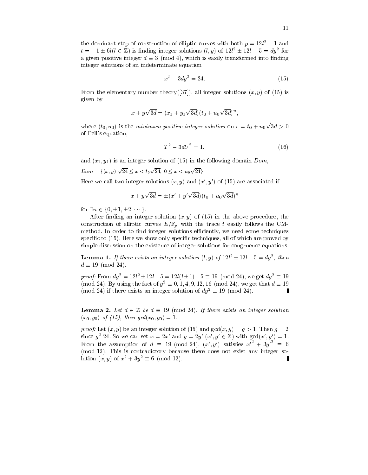the dominant step of construction of elliptic curves with both  $p = 12l^2 - 1$  and  $t = -1 \pm 6l(l \in \mathbb{Z})$  is finding integer solutions  $(l, y)$  of  $12l^2 \pm 12l - 5 = dy^2$  for a given positive integer  $d \equiv 3 \pmod{4}$ , which is easily transformed into finding integer solutions of an indeterminate equation

$$
x^2 - 3dy^2 = 24.\t(15)
$$

From the elementary number theory([37]), all integer solutions  $(x, y)$  of (15) is given by

$$
x + y\sqrt{3d} = (x_1 + y_1\sqrt{3d})(t_0 + u_0\sqrt{3d})^n,
$$

where  $(t_0, u_0)$  is the minimum positive integer solution on  $\epsilon = t_0 + u_0\sqrt{3d} > 0$ of Pell's equation,

$$
T^2 - 3dU^2 = 1,\t(16)
$$

п.

and  $(x_1, y_1)$  is an integer solution of (15) in the following domain Dom,

 $Dom = \{ (x, y) | \sqrt{24} \le x < t_0 \sqrt{24}, 0 \le x < u_0 \sqrt{24} \}.$ 

Here we call two integer solutions  $(x, y)$  and  $(x', y')$  of (15) are associated if

$$
x + y\sqrt{3d} = \pm (x' + y'\sqrt{3d})(t_0 + u_0\sqrt{3d})^n
$$

for  $\exists n \in \{0, \pm 1, \pm 2, \dots\}$ .

After finding an integer solution  $(x, y)$  of (15) in the above procedure, the construction of elliptic curves  $E/\mathbb{F}_p$  with the trace t easily follows the CMmethod. In order to find integer solutions efficiently, we need some techniques specific to  $(15)$ . Here we show only specific techniques, all of which are proved by simple discussion on the existence of integer solutions for congruence equations.

**Lemma 1.** If there exists an integer solution  $(l, y)$  of  $12l^2 \pm 12l - 5 = dy^2$ , then  $d \equiv 19 \pmod{24}$ .

*proof:* From  $dy^2 = 12l^2 \pm 12l - 5 = 12l(l \pm 1) - 5 \equiv 19 \pmod{24}$ , we get  $dy^2 \equiv 19$ (mod 24). By using the fact of  $y^2 \equiv 0, 1, 4, 9, 12, 16 \pmod{24}$ , we get that  $d \equiv 19$ (mod 24) if there exists an integer solution of  $dy^2 \equiv 19 \pmod{24}$ . Г

**Lemma 2.** Let  $d \in \mathbb{Z}$  be  $d \equiv 19 \pmod{24}$ . If there exists an integer solution  $(x_0, y_0)$  of (15), then  $gcd(x_0, y_0)=1$ .

proof. Let  $(x, y)$  be an integer solution of (15) and gcd $(x, y) = y \geq 1$ . Then  $y = 2$ since  $g^2$  24. So we can set  $x = 2x'$  and  $y = 2y'$   $(x', y' \in \mathbb{Z})$  with  $gcd(x', y') = 1$ . From the assumption of  $d \equiv 19 \pmod{24}$ ,  $(x', y')$  satisfies  $x'^2 + 3y'^2 \equiv 6$ (mod 12). This is contradictory because there does not exist any integer solution  $(x, y)$  of  $x^2 + 3y^2 \equiv 6 \pmod{12}$ .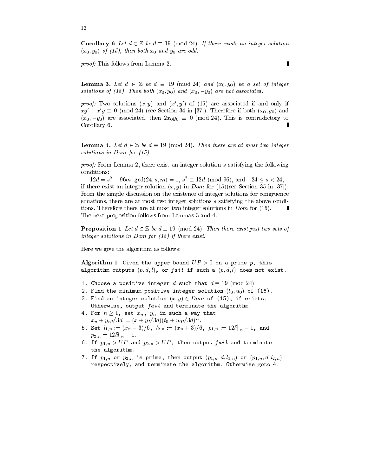**Corollary 6** Let  $d \in \mathbb{Z}$  be  $d \equiv 19 \pmod{24}$ . If there exists an integer solution  $(x_0, y_0)$  of (15), then both  $x_0$  and  $y_0$  are odd.

proof: This follows from Lemma 2.

**Lemma 3.** Let  $d \in \mathbb{Z}$  be  $d \equiv 19 \pmod{24}$  and  $(x_0, y_0)$  be a set of integer solutions of (15). Then both  $(x_0, y_0)$  and  $(x_0, -y_0)$  are not associated.

*proof:* I wo solutions  $(x, y)$  and  $(x, y)$  of (15) are associated if and only if  $xy' - x'y \equiv 0 \pmod{24}$  (see Section 34 in [37]). Therefore if both  $(x_0, y_0)$  and  $(x_0, -y_0)$  are associated, then  $2x_0y_0 \equiv 0 \pmod{24}$ . This is contradictory to Corollary 6.

**Lemma 4.** Let  $d \in \mathbb{Z}$  be  $d \equiv 19 \pmod{24}$ . Then there are at most two integer solutions in Dom for (15).

proof: From Lemma 2, there exist an integer solution <sup>s</sup> satisfying the following conditions:

 $12d = s^2 - 96m$ ,  $gcd(24, s, m) = 1$ ,  $s^2 \equiv 12d \pmod{96}$ , and  $-24 \leq s < 24$ , if there exist an integer solution  $(x, y)$  in Dom for  $(15)$  (see Section 35 in [37]). From the simple discussion on the existence of integer solutions for congruence equations, there are at most two integer solutions <sup>s</sup> satisfying the above conditions. Therefore there are at most two integer solutions in *Dom* for (15). The next proposition follows from Lemmas 3 and 4.

**Proposition 1** Let  $d \in \mathbb{Z}$  be  $d \equiv 19 \pmod{24}$ . Then there exist just two sets of integer solutions in Dom for (15) if there exist.

Here we give the algorithm as follows:

Algorithm 1 Given the upper bound  $UP > 0$  on a prime p, this algorithm outputs  $(p, a, t)$ , or fa $t\epsilon$  if such a  $(p, a, t)$  does not exist.

- 1. Choose a positive integer  $d$  such that  $d\equiv 19\,{\rm (mod \,\,}24)$ .
- $\boldsymbol{z}$ . Find the minimum positive integer solution  $(v_0, u_0)$  of (16).
- 3. Find an integer solution  $(x, y) \in Dom$  of (15), if exists. Otherwise, output fail and terminate the algorithm.
- 4. For  $n\geq 1$ , set  $x_n$ ,  $y_n$  in such a way that  $x_n + y_n \sqrt{3d} := (x + y\sqrt{3d})(t_0 + u_0\sqrt{3d})^n$ .
- 5. Set  $l_{1,n} := (x_n 3)/6, \; l_{2,n} := (x_n + 3)/6, \; p_{1,n} := 12l_{1,n}^2 1, \;$  and  $p_{2,n} = 12t_{2,n} - 1$ .
- $\sigma$ . If  $p_{1,n} > 0$  and  $p_{2,n} > 0$  , then output fail and terminate the algorithm.
- $\mu$ . If  $p_{1,n}$  or  $p_{2,n}$  is prime, then output  $(p_{1,n}, u, \iota_{1,n})$  or  $(p_{1,n}, u, \iota_{2,n})$ respectively, and terminate the algorithm. Otherwise goto 4.

12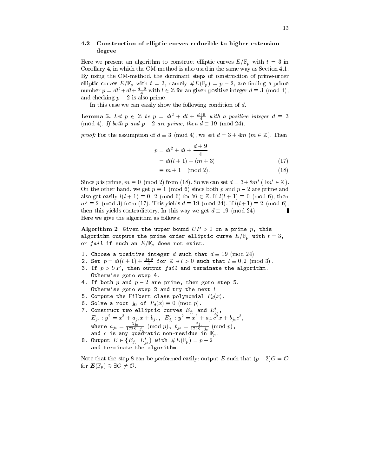#### 4.2 Construction of elliptic curves reducible to higher extension degree

Here we present an algorithm to construct elliptic curves  $E/\mathbb{F}_p$  with  $t=3$  in Corollary 4, in which the CM-method is also used in the same way as Section 4.1. By using the CM-method, the dominant steps of construction of prime-order elliptic curves  $E/\mathbb{F}_p$  with  $t=3$ , namely  $\#E(\mathbb{F}_p) = p-2$ , are finding a prime number  $p = dt^2 + dt + \frac{a+2}{4}$  with  $l \in \mathbb{Z}$  for an given positive integer  $d \equiv 3 \pmod{4}$ , and checking  $p-2$  is also prime.

In this case we can easily show the following condition of  $d$ .

**Lemma 5.** Let  $p \in \mathbb{Z}$  be  $p = dl^2 + dl + \frac{u+2}{4}$  with a positive integer  $d \equiv 3$ (mod 4). If both p and  $p-2$  are prime, then  $d \equiv 19 \pmod{24}$ .

*proof:* For the assumption of  $d \equiv 3 \pmod{4}$ , we set  $d = 3+4m \pmod{m \in \mathbb{Z}}$ . Then

$$
p = dl2 + dl + \frac{d+9}{4}
$$
  
= dl(l + 1) + (m + 3) (17)

$$
\equiv m+1 \pmod{2}.
$$
 (18)

Since *p* is prime, 
$$
m \equiv 0 \pmod{2}
$$
 from (18). So we can set  $d = 3 + 8m' \pmod{\exists m' \in \mathbb{Z}}$ .  
On the other hand, we get  $p \equiv 1 \pmod{6}$  since both *p* and  $p - 2$  are prime and  
also get easily  $l(l + 1) \equiv 0, 2 \pmod{6}$  for  $\forall l \in \mathbb{Z}$ . If  $l(l + 1) \equiv 0 \pmod{6}$ , then  
 $m' \equiv 2 \pmod{3}$  from (17). This yields  $d \equiv 19 \pmod{24}$ . If  $l(l + 1) \equiv 2 \pmod{6}$ ,  
then this yields contradictory. In this way we get  $d \equiv 19 \pmod{24}$ .

Here we give the algorithm as follows:

Algorithm 2 Given the upper bound  $UP > 0$  on a prime p, this algorithm cucleus the prime-order elliptic curve  $\Xi/\Xi\eta$  with the  $\sigma$  $\cdots$  fails if such an  $\cdots$  if  $\cdots$  and  $\cdots$  if the such that  $\cdots$ 

- 1. Choose a positive integer  $d$  such that  $d\equiv 19\,{\rm (mod \,\,}24)$ .
- 2. Set  $p = dl(l + 1) + \frac{u + \sigma}{4}$  for  $\mathbb{Z} \ni l > 0$  such that  $l \equiv 0,2 \pmod{3}$ .
- $3.$  II  $p > 01$ , then output fact and terminate the argorithm. Otherwise goto step 4.
- $\texttt{4.11}$  both  $p$  and  $p z$  are prime, then goto step 5. Otherwise goto step <sup>2</sup> and try the next l.
- 5. Compute the Hilbert class polynomial Pd(x).
- 6. Solve a root  $j_0$  of  $P_d(x) \equiv 0 \pmod{p}$ .
- $7.$  Construct two elliptic curves  $E_{j_0}$  and  $E_{j_0}$ ,  $E_{j_0}: y^- = x^+ + a_{j_0}x + b_{j_0}$  ,  $E_{j_0}: y^- = x^+ + a_{j_0}c^-x + b_{j_0}c^-,$ where  $a_{j_0} = \frac{2j_0}{1728-j_0} \pmod{p}$ ,  $b_{j_0} = \frac{2j_0}{1728-j_0} \pmod{p}$ , and c is any quadratic non-residue in Fp .
- 8. Output  $E \in \{E_{j_0},E_{j_0}'\}$  with  $\#E(\mathbb{F}_p ) = p-2$ and terminate to the algorithm.

Note that the step 8 can be performed easily: output E such that  $(p-2)G = \mathcal{O}$ for  $\mathbf{E}(\mathbb{F}_p) \ni \exists G \neq \mathcal{O}$ .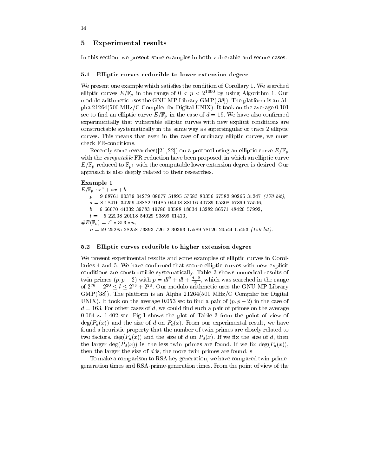In this section, we present some examples in both vulnerable and secure cases.

#### 5.1 Elliptic curves reducible to lower extension degree

We present one example which satisfies the condition of Corollary 1. We searched elliptic curves  $E/\mathbb{F}_p$  in the range of  $0 < p < 2^{1000}$  by using Algorithm 1. Our modulo arithmetic uses the GNU MP Library GMP([38]). The platform is an Alpha 21264(500 MHz/C Compiler for Digital UNIX). It took on the average 0.101 sec to find an elliptic curve  $E/\mathbb{F}_p$  in the case of  $d = 19$ . We have also confirmed experimentally that vulnerable elliptic curves with new explicit conditions are constructable systematically in the same way as supersingular or trace 2 elliptic curves. This means that even in the case of ordinary elliptic curves, we must check FR-conditions.

Recently some researches ([21, 22]) on a protocol using an elliptic curve  $E/\mathbb{F}_p$ with the *computable* FR-reduction have been proposed, in which an elliptic curve  $E/\mathbb{F}_p$  reduced to  $\mathbb{F}_{p^k}$  with the computable lower extension degree is desired. Our approach is also deeply related to their researches.

#### Example 1

 $E/\mathbb{F}_p : x^3 + ax + b$  $p = 9$  08761 00379 04279 08077 54895 57583 80356 67582 90265 31247 (170-bit),  $a = 8$  18416 34259 48882 91485 04408 88116 40789 05308 57899 75506,  $b = 666070443323978349780035881803413282865714842057992$  $t = -5$  22138 20118 54029 93899 01413,  $\#E(\mathbb{F}_p) = 7^2 * 313 * n,$  $n = 59$  25285 28258 73893 72612 30363 15589 78126 20544 05453 (156-bit).

#### 5.2 Elliptic curves reducible to higher extension degree

We present experimental results and some examples of elliptic curves in Corollaries 4 and 5. We have confirmed that secure elliptic curves with new explicit conditions are constructible systematically. Table 3 shows numerical results of twin primes  $(p, p - 2)$  with  $p = a^2 + a^2 + \frac{a^2}{4}$ , which was searched in the range of  $2^{76} - 2^{20} \le l \le 2^{76} + 2^{20}$ . Our modulo arithmetic uses the GNU MP Library GMP([38]). The platform is an Alpha 21264(500 MHz/C Compiler for Digital UNIX). It took on the average 0.053 sec to find a pair of  $(p, p-2)$  in the case of d = 163. For other cases of d, we could nd such a pair of primes on the average  $0.064 \sim 1.402$  sec. Fig.1 shows the plot of Table 3 from the point of view of  $deg(P_d(x))$  and the size of d on  $P_d(x)$ . From our experimental result, we have found a heuristic property that the number of twin primes are closely related to two factors,  $deg(P_d(x))$  and the size of d on  $P_d(x)$ . If we fix the size of d, then the larger deg( $P_d(x)$ ) is, the less twin primes are found. If we fix deg( $P_d(x)$ ), then the larger the size of  $d$  is, the more twin primes are found. s

To make a comparison to RSA key generation, we have compared twin-primegeneration times and RSA-prime-generation times. From the point of view of the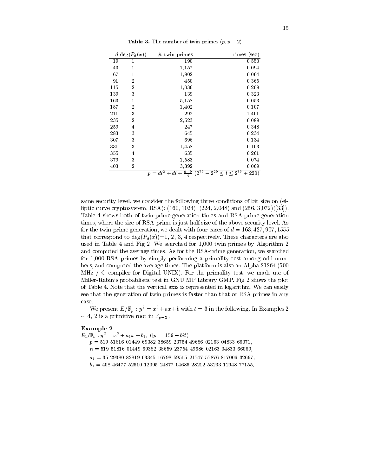|     | d deg $(P_d(x))$ | twin primes<br>#                                  | times (sec)                  |
|-----|------------------|---------------------------------------------------|------------------------------|
| 19  | 1                | 190                                               | 0.550                        |
| 43  | 1                | 1,157                                             | 0.094                        |
| 67  | 1                | 1,902                                             | 0.064                        |
| 91  | $\overline{2}$   | 450                                               | 0.365                        |
| 115 | $\overline{2}$   | 1,036                                             | 0.209                        |
| 139 | 3                | 139                                               | 0.323                        |
| 163 | 1                | 5,158                                             | 0.053                        |
| 187 | $\overline{2}$   | 1,402                                             | 0.107                        |
| 211 | 3                | 292                                               | 1.401                        |
| 235 | $\overline{2}$   | 2,523                                             | 0.089                        |
| 259 | 4                | 247                                               | 0.348                        |
| 283 | 3                | 645                                               | 0.234                        |
| 307 | 3                | 696                                               | 0.134                        |
| 331 | 3                | 1,458                                             | 0.103                        |
| 355 | 4                | 635                                               | 0.261                        |
| 379 | 3                | 1,583                                             | 0.074                        |
| 403 | $\overline{2}$   | 3,392                                             | 0.069                        |
|     |                  | $-2^{20}$<br>$\sqrt{2^{76}}$<br>$p = dl^2 + dl +$ | $\leq l \leq 2^{76}$<br>220) |

**Table 3.** The number of twin primes  $(p, p - 2)$ 

same security level, we consider the following three conditions of bit size on (elliptic curve cryptosystem, RSA): (160, 1024), (224, 2,048) and (256, 3,072)([33]). Table 4 shows both of twin-prime-generation times and RSA-prime-generation times, where the size of RSA-prime is just half size of the above security level. As for the twin-prime generation, we dealt with four cases of  $d = 163, 427, 907, 1555$ that correspond to  $deg(P_d(x))=1, 2, 3, 4$  respectively. These characters are also used in Table 4 and Fig 2. We searched for 1,000 twin primes by Algorithm 2 and computed the average times. As for the RSA-prime generation, we searched for 1,000 RSA primes by simply performing a primality test among odd numbers, and computed the average times. The platform is also an Alpha 21264 (500 MHz / C compiler for Digital UNIX). For the primality test, we made use of Miller-Rabin's probablistic test in GNU MP Library GMP. Fig 2 shows the plot of Table 4. Note that the vertical axis is represented in logarithm. We can easily see that the generation of twin primes is faster than that of RSA primes in any case.

We present  $E/\mathbb{F}_p : y^2 = x^3 + ax + b$  with  $t = 3$  in the following. In Examples 2  $\sim$  4,  $\angle$  is a primitive root in  $\mathbb{F}_{n-2}$ .

#### Example 2

 $E_1/\mathbb{F}_p$  :  $y^2=x^3+a_1x+b_1,$   $(|p|=159-bit)$ 

 $p = 519518160144969382386592375449686021630483366071$  $n = 519$  51816 01449 69382 38659 23754 49686 02163 04833 66069,

- a1 = 35 29380 82819 03345 16798 59515 21747 57876 817006 32697,
- b1 = 408 46477 52610 12095 24877 04686 28212 53233 12948 77155,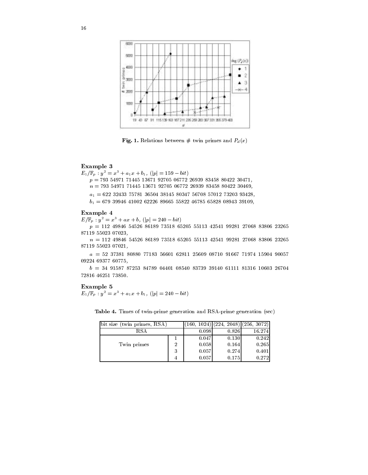

Fig. 1. Relations between  $\#$  twin primes and  $P_d(x)$ 

#### Example 3

 $E_1/\mathbb{F}_p$  :  $y^2=x^3+a_1x+b_1,$   $(|p|=159-bit)$  $p = 793549717144513671927050677226939834588042230471,$  $n = 793$  54971 71445 13671 92705 06772 26939 83458 80422 30469, a<sub>1</sub> = 322 3243 75782 3333 3324 3552 3573 5778 5732 571 5870 571 b1 = 679 39946 41002 62226 89665 55822 46785 65828 08943 39109,

#### Example 4

 $E/\mathbb{F}_p : y^2 = x^3 + ax + b, (|p| = 240 - bit)$ 

 $p = 112$  49846 54526 86189 73518 65205 55113 42541 99281 27068 83806 23265 87119 55023 07023,

<sup>n</sup> = 112 49846 54526 86189 73518 65205 55113 42541 99281 27068 83806 23265 87119 55023 07021,

 $a = 52$  37381 80880 77183 56601 62811 25609 08710 91667 71974 15904 90057 09224 69377 60775,

 $b = 34$  91587 87253 84789 04401 08540 83739 39140 61111 81316 10603 26704 72816 46251 73850.

#### Example 5

 $E_1/\mathbb{F}_p$  :  $y^2=x^3+a_1x+b_1,$   $(|p|=240-bit)$ 

| bit size (twin primes, RSA) |   |       | $(160, 1024)$ (224, 2048) (256, 3072) [ |        |
|-----------------------------|---|-------|-----------------------------------------|--------|
| RS A                        |   | 0.098 | 0.826                                   | 16.274 |
|                             |   | 0.047 | 0.130                                   | 0.242  |
| Twin primes                 | റ | 0.058 | 0.164                                   | 0.265  |
|                             | 3 | 0.057 | 0.274                                   | 0.401  |

4 0.057 0.175 0.175 0.272 0.175 0.272 0.272 0.272 0.272 0.272 0.272 0.272 0.272 0

Table 4. Times of twin-prime generation and RSA-prime generation (sec)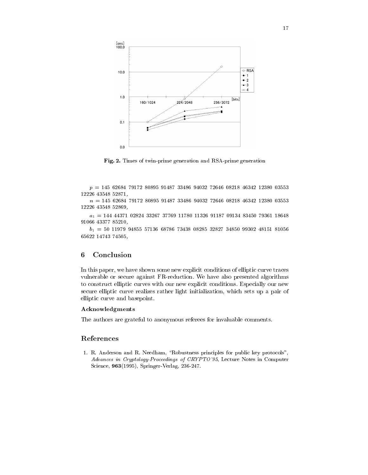

Fig. 2. Times of twin-prime generation and RSA-prime generation

 $p = 145\text{ }62684\text{ }79172\text{ }80895\text{ }91487\text{ }33486\text{ }94032\text{ }72646\text{ }08218\text{ }46342\text{ }12380\text{ }03553$ 12226 43548 52871,

 $n = 145$  62684 79172 80895 91487 33486 94032 72646 08218 46342 12380 03553 12226 43548 52869,

a<sub>1</sub> = 144 4437 11326 11236 11780 11790 11326 11326 11326 11326 11326 11326 11326 11326 91066 43377 85210,

.<sub>1 :</sub> 50 11979 9485 57136 58786 73186 31197 31287 31387 31387 31187 31187 3 65622 14743 74505,

#### Conclusion 6

In this paper, we have shown some new explicit conditions of elliptic curve traces vulnerable or secure against FR-reduction. We have also presented algorithms to construct elliptic curves with our new explicit conditions. Especially our new secure elliptic curve realizes rather light initialization, which sets up a pair of elliptic curve and basepoint.

#### Acknowledgments

The authors are grateful to anonymous referees for invaluable comments.

#### References

1. R. Anderson and R. Needham, "Robustness principles for public key protocols", Advances in Cryptology-Proceedings of CRYPTO'95, Lecture Notes in Computer Science, 963(1995), Springer-Verlag, 236-247.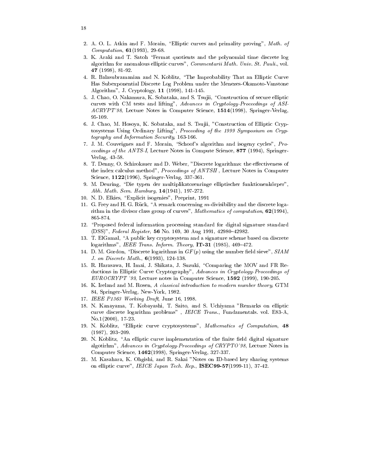- 2. A. O. L. Atkin and F. Morain, "Elliptic curves and primality proving", Math. of  $Computation, 61(1993), 29-68.$
- 3. K. Araki and T. Satoh \Fermat quotients and the polynomial time discrete log algorithm for anomalous elliptic curves", Commentarii Math. Univ. St. Pauli., vol. 47 (1998), 81-92.
- 4. R. Balasubramanian and N. Koblitz, \The Improbability That an Elliptic Curve Has Subexponential Discrete Log Problem under the Menezes-Okamoto-Vanstone Algorithm", J. Cryptology, 11 (1998), 141-145.
- 5. J. Chao, O. Nakamura, K. Sobataka, and S. Tsujii, "Construction of secure elliptic curves with CM tests and lifting", Advances in Cryptology-Proceedings of ASI-ACRYPT'98, Lecture Notes in Computer Science, 1514(1998), Springer-Verlag, 95-109.
- 6. J. Chao, M. Hosoya, K. Sobataka, and S. Tsujii, "Construction of Elliptic Cryptosystems Using Ordinary Lifting", Proceeding of the 1999 Symposium on Cryptography and Information Security, 163-166.
- 7. J. M. Couveignes and F. Morain, "Schoof's algorithm and isogeny cycles", Proceedings of the ANTS-I, Lecture Notes in Compute Science, 877 (1994), Springer-Verlag, 43-58.
- 8. T. Denny, O. Schirokauer and D. Weber, "Discrete logarithms: the effectiveness of the index calculus method", Proceedings of ANTSII , Lecture Notes in Computer Science, 1122(1996), Springer-Verlag, 337-361.
- 9. M. Deuring, "Die typen der multiplikatorenringe elliptischer funktionenkörper", Abh. Math. Sem. Hamburg, 14(1941), 197-272.
- 10. N. D. Elkies, \Explicit isogenies", Preprint, 1991
- 11. G. Frey and H. G. Rück, "A remark concerning  $m$ -divisibility and the discrete logarithm in the divisor class group of curves", Mathematics of computation, 62(1994), 865-874.
- 12. \Proposed federal information processing standard for digital signature standard (DSS)", Federal Register, 56 No. 169, 30 Aug 1991, 42980-42982.
- 13. T. ElGamal, "A public key cryptosystem and a signature scheme based on discrete logarithms", IEEE Trans. Inform. Theory,  $IT-31$  (1985), 469-472.
- 14. D. M. Gordon, "Discrete logarithms in  $GF(p)$  using the number field sieve",  $SIAM$ J. on Discrete Math., 6(1993), 124-138.
- 15. R. Harasawa, H. Imai, J. Shikata, J. Suzuki, \Comparing the MOV and FR Reductions in Elliptic Curve Cryptography", Advances in Cryptology-Proceedings of  $EUROCRYPT'$  '99, Lecture notes in Computer Science, 1592 (1999), 190-205.
- 16. K. Ireland and M. Rosen, A classical introduction to modern number theory, GTM 84, Springer-Verlag, New-York, 1982.
- 17. IEEE P1363 Working Draft, June 16, 1998.
- 18. N. Kanayama, T. Kobayashi, T. Saito, and S. Uchiyama "Remarks on elliptic curve discrete logarithm problems" , IEICE Trans., Fundamentals. vol. E83-A, No.1(2000), 17-23.
- 19. N. Koblitz, "Elliptic curve cryptosystems", Mathematics of Computation, 48  $(1987), 203 - 209.$
- 20. N. Koblitz, "An elliptic curve implementation of the finite field digital signature algotirhm", Advances in Cryptology-Proceedings of CRYPTO'98, Lecture Notes in Computer Science, 1462(1998), Springer-Verlag, 327-337.
- 21. M. Kasahara, K. Ohgishi, and R. Sakai "Notes on ID-based key sharing systems on elliptic curve", IEICE Japan Tech. Rep., ISEC99-57(1999-11), 37-42.